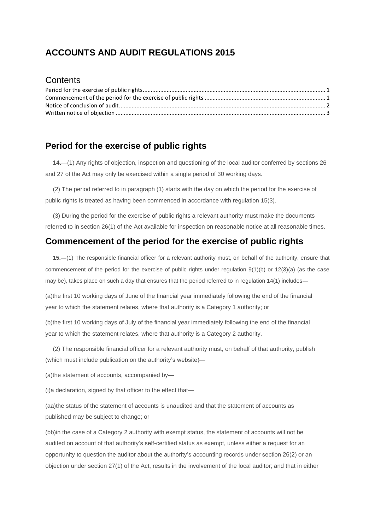# **ACCOUNTS AND AUDIT REGULATIONS 2015**

#### **Contents**

# <span id="page-0-0"></span>**Period for the exercise of public rights**

**14.**—(1) Any rights of objection, inspection and questioning of the local auditor conferred by sections 26 and 27 of the Act may only be exercised within a single period of 30 working days.

(2) The period referred to in paragraph (1) starts with the day on which the period for the exercise of public rights is treated as having been commenced in accordance with regulation 15(3).

(3) During the period for the exercise of public rights a relevant authority must make the documents referred to in section 26(1) of the Act available for inspection on reasonable notice at all reasonable times.

## <span id="page-0-1"></span>**Commencement of the period for the exercise of public rights**

**15.**—(1) The responsible financial officer for a relevant authority must, on behalf of the authority, ensure that commencement of the period for the exercise of public rights under regulation 9(1)(b) or 12(3)(a) (as the case may be), takes place on such a day that ensures that the period referred to in regulation 14(1) includes—

(a)the first 10 working days of June of the financial year immediately following the end of the financial year to which the statement relates, where that authority is a Category 1 authority; or

(b)the first 10 working days of July of the financial year immediately following the end of the financial year to which the statement relates, where that authority is a Category 2 authority.

(2) The responsible financial officer for a relevant authority must, on behalf of that authority, publish (which must include publication on the authority's website)—

(a)the statement of accounts, accompanied by—

(i)a declaration, signed by that officer to the effect that—

(aa)the status of the statement of accounts is unaudited and that the statement of accounts as published may be subject to change; or

(bb)in the case of a Category 2 authority with exempt status, the statement of accounts will not be audited on account of that authority's self-certified status as exempt, unless either a request for an opportunity to question the auditor about the authority's accounting records under section 26(2) or an objection under section 27(1) of the Act, results in the involvement of the local auditor; and that in either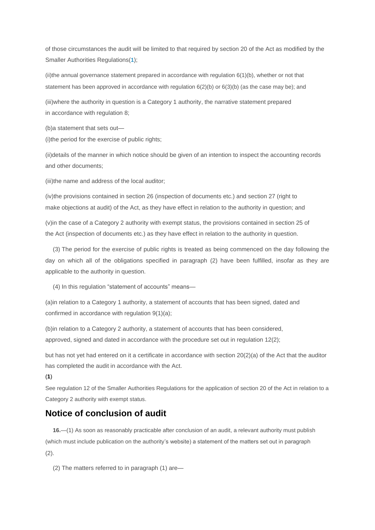of those circumstances the audit will be limited to that required by section 20 of the Act as modified by the Smaller Authorities Regulations(**[1](http://www.legislation.gov.uk/uksi/2015/234/regulation/15/made#f00022)**);

(ii)the annual governance statement prepared in accordance with regulation 6(1)(b), whether or not that statement has been approved in accordance with regulation 6(2)(b) or 6(3)(b) (as the case may be); and

(iii)where the authority in question is a Category 1 authority, the narrative statement prepared in accordance with regulation 8;

(b)a statement that sets out—

(i)the period for the exercise of public rights;

(ii)details of the manner in which notice should be given of an intention to inspect the accounting records and other documents;

(iii)the name and address of the local auditor;

(iv)the provisions contained in section 26 (inspection of documents etc.) and section 27 (right to make objections at audit) of the Act, as they have effect in relation to the authority in question; and

(v)in the case of a Category 2 authority with exempt status, the provisions contained in section 25 of the Act (inspection of documents etc.) as they have effect in relation to the authority in question.

(3) The period for the exercise of public rights is treated as being commenced on the day following the day on which all of the obligations specified in paragraph (2) have been fulfilled, insofar as they are applicable to the authority in question.

(4) In this regulation "statement of accounts" means—

(a)in relation to a Category 1 authority, a statement of accounts that has been signed, dated and confirmed in accordance with regulation 9(1)(a);

(b)in relation to a Category 2 authority, a statement of accounts that has been considered, approved, signed and dated in accordance with the procedure set out in regulation 12(2);

but has not yet had entered on it a certificate in accordance with section 20(2)(a) of the Act that the auditor has completed the audit in accordance with the Act.

(**1**)

See regulation 12 of the Smaller Authorities Regulations for the application of section 20 of the Act in relation to a Category 2 authority with exempt status.

### <span id="page-1-0"></span>**Notice of conclusion of audit**

**16.**—(1) As soon as reasonably practicable after conclusion of an audit, a relevant authority must publish (which must include publication on the authority's website) a statement of the matters set out in paragraph (2).

(2) The matters referred to in paragraph (1) are—